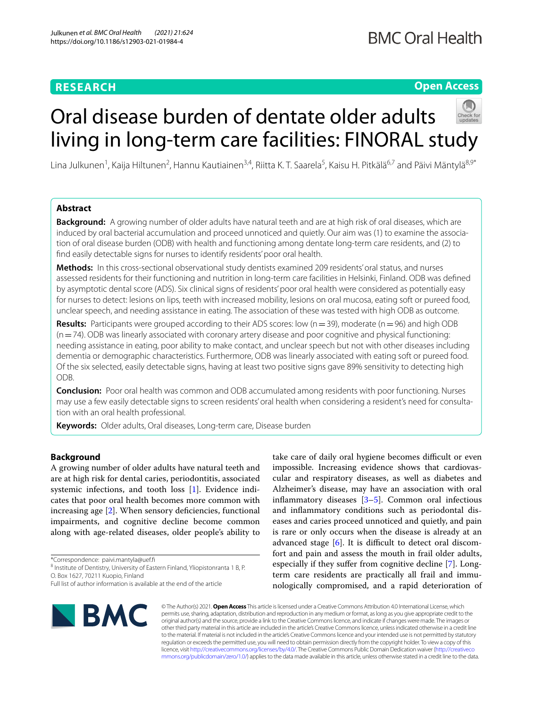# **RESEARCH**

# **Open Access**

# Oral disease burden of dentate older adults living in long-term care facilities: FINORAL study

Lina Julkunen<sup>1</sup>, Kaija Hiltunen<sup>2</sup>, Hannu Kautiainen<sup>3,4</sup>, Riitta K. T. Saarela<sup>5</sup>, Kaisu H. Pitkälä<sup>6,7</sup> and Päivi Mäntylä<sup>8,9\*</sup>

# **Abstract**

**Background:** A growing number of older adults have natural teeth and are at high risk of oral diseases, which are induced by oral bacterial accumulation and proceed unnoticed and quietly. Our aim was (1) to examine the association of oral disease burden (ODB) with health and functioning among dentate long-term care residents, and (2) to fnd easily detectable signs for nurses to identify residents' poor oral health.

**Methods:** In this cross-sectional observational study dentists examined 209 residents' oral status, and nurses assessed residents for their functioning and nutrition in long-term care facilities in Helsinki, Finland. ODB was defned by asymptotic dental score (ADS). Six clinical signs of residents' poor oral health were considered as potentially easy for nurses to detect: lesions on lips, teeth with increased mobility, lesions on oral mucosa, eating soft or pureed food, unclear speech, and needing assistance in eating. The association of these was tested with high ODB as outcome.

**Results:** Participants were grouped according to their ADS scores: low ( $n=39$ ), moderate ( $n=96$ ) and high ODB  $(n=74)$ . ODB was linearly associated with coronary artery disease and poor cognitive and physical functioning: needing assistance in eating, poor ability to make contact, and unclear speech but not with other diseases including dementia or demographic characteristics. Furthermore, ODB was linearly associated with eating soft or pureed food. Of the six selected, easily detectable signs, having at least two positive signs gave 89% sensitivity to detecting high ODB.

**Conclusion:** Poor oral health was common and ODB accumulated among residents with poor functioning. Nurses may use a few easily detectable signs to screen residents' oral health when considering a resident's need for consultation with an oral health professional.

**Keywords:** Older adults, Oral diseases, Long-term care, Disease burden

# **Background**

A growing number of older adults have natural teeth and are at high risk for dental caries, periodontitis, associated systemic infections, and tooth loss [\[1](#page-7-0)]. Evidence indicates that poor oral health becomes more common with increasing age [[2\]](#page-7-1). When sensory deficiencies, functional impairments, and cognitive decline become common along with age-related diseases, older people's ability to

\*Correspondence: paivi.mantyla@uef.f

<sup>8</sup> Institute of Dentistry, University of Eastern Finland, Yliopistonranta 1 B, P. O. Box 1627, 70211 Kuopio, Finland

**BMC** 

take care of daily oral hygiene becomes difficult or even impossible. Increasing evidence shows that cardiovascular and respiratory diseases, as well as diabetes and Alzheimer's disease, may have an association with oral inflammatory diseases  $[3-5]$  $[3-5]$ . Common oral infectious and infammatory conditions such as periodontal diseases and caries proceed unnoticed and quietly, and pain is rare or only occurs when the disease is already at an advanced stage  $[6]$  $[6]$ . It is difficult to detect oral discomfort and pain and assess the mouth in frail older adults, especially if they suffer from cognitive decline [[7\]](#page-8-3). Longterm care residents are practically all frail and immunologically compromised, and a rapid deterioration of

© The Author(s) 2021. **Open Access** This article is licensed under a Creative Commons Attribution 4.0 International License, which permits use, sharing, adaptation, distribution and reproduction in any medium or format, as long as you give appropriate credit to the original author(s) and the source, provide a link to the Creative Commons licence, and indicate if changes were made. The images or other third party material in this article are included in the article's Creative Commons licence, unless indicated otherwise in a credit line to the material. If material is not included in the article's Creative Commons licence and your intended use is not permitted by statutory regulation or exceeds the permitted use, you will need to obtain permission directly from the copyright holder. To view a copy of this licence, visit [http://creativecommons.org/licenses/by/4.0/.](http://creativecommons.org/licenses/by/4.0/) The Creative Commons Public Domain Dedication waiver ([http://creativeco](http://creativecommons.org/publicdomain/zero/1.0/) [mmons.org/publicdomain/zero/1.0/](http://creativecommons.org/publicdomain/zero/1.0/)) applies to the data made available in this article, unless otherwise stated in a credit line to the data.

Full list of author information is available at the end of the article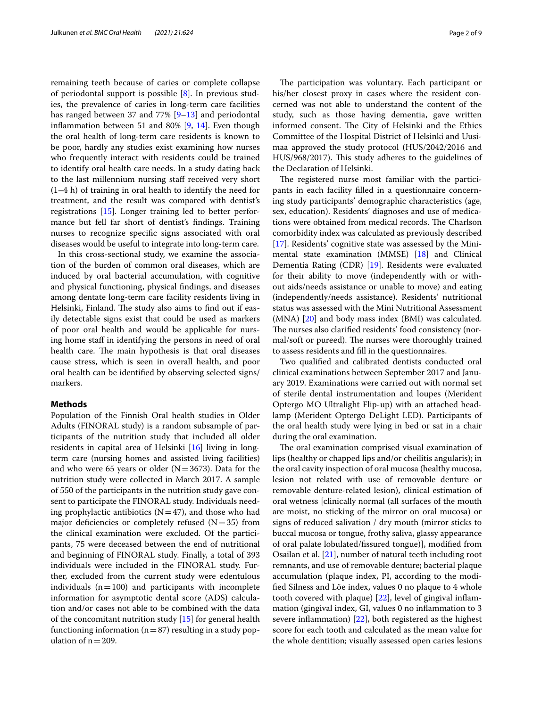remaining teeth because of caries or complete collapse of periodontal support is possible [[8\]](#page-8-4). In previous studies, the prevalence of caries in long-term care facilities has ranged between 37 and 77% [\[9](#page-8-5)[–13](#page-8-6)] and periodontal inflammation between 51 and 80%  $[9, 14]$  $[9, 14]$  $[9, 14]$  $[9, 14]$  $[9, 14]$ . Even though the oral health of long-term care residents is known to be poor, hardly any studies exist examining how nurses who frequently interact with residents could be trained to identify oral health care needs. In a study dating back to the last millennium nursing staff received very short (1–4 h) of training in oral health to identify the need for treatment, and the result was compared with dentist's registrations [\[15](#page-8-8)]. Longer training led to better performance but fell far short of dentist's fndings. Training nurses to recognize specifc signs associated with oral diseases would be useful to integrate into long-term care.

In this cross-sectional study, we examine the association of the burden of common oral diseases, which are induced by oral bacterial accumulation, with cognitive and physical functioning, physical fndings, and diseases among dentate long-term care facility residents living in Helsinki, Finland. The study also aims to find out if easily detectable signs exist that could be used as markers of poor oral health and would be applicable for nursing home staff in identifying the persons in need of oral health care. The main hypothesis is that oral diseases cause stress, which is seen in overall health, and poor oral health can be identifed by observing selected signs/ markers.

# **Methods**

Population of the Finnish Oral health studies in Older Adults (FINORAL study) is a random subsample of participants of the nutrition study that included all older residents in capital area of Helsinki [[16\]](#page-8-9) living in longterm care (nursing homes and assisted living facilities) and who were 65 years or older  $(N=3673)$ . Data for the nutrition study were collected in March 2017. A sample of 550 of the participants in the nutrition study gave consent to participate the FINORAL study. Individuals needing prophylactic antibiotics  $(N=47)$ , and those who had major deficiencies or completely refused  $(N=35)$  from the clinical examination were excluded. Of the participants, 75 were deceased between the end of nutritional and beginning of FINORAL study. Finally, a total of 393 individuals were included in the FINORAL study. Further, excluded from the current study were edentulous individuals  $(n=100)$  and participants with incomplete information for asymptotic dental score (ADS) calculation and/or cases not able to be combined with the data of the concomitant nutrition study [\[15](#page-8-8)] for general health functioning information ( $n=87$ ) resulting in a study population of  $n=209$ .

The participation was voluntary. Each participant or his/her closest proxy in cases where the resident concerned was not able to understand the content of the study, such as those having dementia, gave written informed consent. The City of Helsinki and the Ethics Committee of the Hospital District of Helsinki and Uusimaa approved the study protocol (HUS/2042/2016 and HUS/968/2017). This study adheres to the guidelines of the Declaration of Helsinki.

The registered nurse most familiar with the participants in each facility flled in a questionnaire concerning study participants' demographic characteristics (age, sex, education). Residents' diagnoses and use of medications were obtained from medical records. The Charlson comorbidity index was calculated as previously described [[17\]](#page-8-10). Residents' cognitive state was assessed by the Minimental state examination (MMSE) [\[18](#page-8-11)] and Clinical Dementia Rating (CDR) [\[19](#page-8-12)]. Residents were evaluated for their ability to move (independently with or without aids/needs assistance or unable to move) and eating (independently/needs assistance). Residents' nutritional status was assessed with the Mini Nutritional Assessment (MNA) [\[20\]](#page-8-13) and body mass index (BMI) was calculated. The nurses also clarified residents' food consistency (normal/soft or pureed). The nurses were thoroughly trained to assess residents and fll in the questionnaires.

Two qualifed and calibrated dentists conducted oral clinical examinations between September 2017 and January 2019. Examinations were carried out with normal set of sterile dental instrumentation and loupes (Merident Optergo MO Ultralight Flip-up) with an attached headlamp (Merident Optergo DeLight LED). Participants of the oral health study were lying in bed or sat in a chair during the oral examination.

The oral examination comprised visual examination of lips (healthy or chapped lips and/or cheilitis angularis); in the oral cavity inspection of oral mucosa (healthy mucosa, lesion not related with use of removable denture or removable denture-related lesion), clinical estimation of oral wetness [clinically normal (all surfaces of the mouth are moist, no sticking of the mirror on oral mucosa) or signs of reduced salivation / dry mouth (mirror sticks to buccal mucosa or tongue, frothy saliva, glassy appearance of oral palate lobulated/fssured tongue)], modifed from Osailan et al. [\[21\]](#page-8-14), number of natural teeth including root remnants, and use of removable denture; bacterial plaque accumulation (plaque index, PI, according to the modifed Silness and Löe index, values 0 no plaque to 4 whole tooth covered with plaque) [[22\]](#page-8-15), level of gingival infammation (gingival index, GI, values 0 no infammation to 3 severe infammation) [[22\]](#page-8-15), both registered as the highest score for each tooth and calculated as the mean value for the whole dentition; visually assessed open caries lesions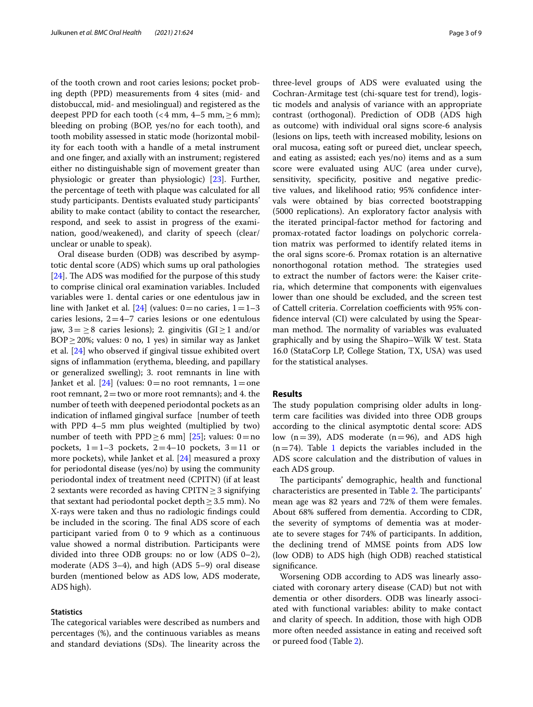of the tooth crown and root caries lesions; pocket probing depth (PPD) measurements from 4 sites (mid- and distobuccal, mid- and mesiolingual) and registered as the deepest PPD for each tooth (<4 mm,  $4-5$  mm,  $\geq 6$  mm); bleeding on probing (BOP, yes/no for each tooth), and tooth mobility assessed in static mode (horizontal mobility for each tooth with a handle of a metal instrument and one fnger, and axially with an instrument; registered either no distinguishable sign of movement greater than physiologic or greater than physiologic) [[23\]](#page-8-16). Further, the percentage of teeth with plaque was calculated for all study participants. Dentists evaluated study participants' ability to make contact (ability to contact the researcher, respond, and seek to assist in progress of the examination, good/weakened), and clarity of speech (clear/ unclear or unable to speak).

Oral disease burden (ODB) was described by asymptotic dental score (ADS) which sums up oral pathologies [[24\]](#page-8-17). The ADS was modified for the purpose of this study to comprise clinical oral examination variables. Included variables were 1. dental caries or one edentulous jaw in line with Janket et al. [\[24](#page-8-17)] (values:  $0 =$ no caries,  $1 = 1-3$ caries lesions,  $2=4-7$  caries lesions or one edentulous jaw, 3= ≥8 caries lesions); 2. gingivitis (GI≥1 and/or BOP≥20%; values: 0 no, 1 yes) in similar way as Janket et al. [[24](#page-8-17)] who observed if gingival tissue exhibited overt signs of infammation (erythema, bleeding, and papillary or generalized swelling); 3. root remnants in line with Janket et al.  $[24]$  $[24]$  $[24]$  (values: 0 = no root remnants, 1 = one root remnant,  $2$  = two or more root remnants); and 4. the number of teeth with deepened periodontal pockets as an indication of infamed gingival surface [number of teeth with PPD 4–5 mm plus weighted (multiplied by two) number of teeth with PPD  $\geq$  6 mm] [[25](#page-8-18)]; values: 0 = no pockets,  $1=1-3$  pockets,  $2=4-10$  pockets,  $3=11$  or more pockets), while Janket et al. [[24\]](#page-8-17) measured a proxy for periodontal disease (yes/no) by using the community periodontal index of treatment need (CPITN) (if at least 2 sextants were recorded as having CPITN $\geq$ 3 signifying that sextant had periodontal pocket depth $\geq$  3.5 mm). No X-rays were taken and thus no radiologic fndings could be included in the scoring. The final ADS score of each participant varied from 0 to 9 which as a continuous value showed a normal distribution. Participants were divided into three ODB groups: no or low (ADS 0–2), moderate (ADS 3–4), and high (ADS 5–9) oral disease burden (mentioned below as ADS low, ADS moderate, ADS high).

#### **Statistics**

The categorical variables were described as numbers and percentages (%), and the continuous variables as means and standard deviations (SDs). The linearity across the three-level groups of ADS were evaluated using the Cochran-Armitage test (chi-square test for trend), logistic models and analysis of variance with an appropriate contrast (orthogonal). Prediction of ODB (ADS high as outcome) with individual oral signs score-6 analysis (lesions on lips, teeth with increased mobility, lesions on oral mucosa, eating soft or pureed diet, unclear speech, and eating as assisted; each yes/no) items and as a sum score were evaluated using AUC (area under curve), sensitivity, specificity, positive and negative predictive values, and likelihood ratio; 95% confdence intervals were obtained by bias corrected bootstrapping (5000 replications). An exploratory factor analysis with the iterated principal-factor method for factoring and promax-rotated factor loadings on polychoric correla-

tion matrix was performed to identify related items in the oral signs score-6. Promax rotation is an alternative nonorthogonal rotation method. The strategies used to extract the number of factors were: the Kaiser criteria, which determine that components with eigenvalues lower than one should be excluded, and the screen test of Cattell criteria. Correlation coefficients with 95% confdence interval (CI) were calculated by using the Spearman method. The normality of variables was evaluated graphically and by using the Shapiro–Wilk W test. Stata 16.0 (StataCorp LP, College Station, TX, USA) was used for the statistical analyses.

# **Results**

The study population comprising older adults in longterm care facilities was divided into three ODB groups according to the clinical asymptotic dental score: ADS low  $(n=39)$ , ADS moderate  $(n=96)$ , and ADS high  $(n=74)$ . Table [1](#page-3-0) depicts the variables included in the ADS score calculation and the distribution of values in each ADS group.

The participants' demographic, health and functional characteristics are presented in Table [2.](#page-3-1) The participants' mean age was 82 years and 72% of them were females. About 68% sufered from dementia. According to CDR, the severity of symptoms of dementia was at moderate to severe stages for 74% of participants. In addition, the declining trend of MMSE points from ADS low (low ODB) to ADS high (high ODB) reached statistical signifcance.

Worsening ODB according to ADS was linearly associated with coronary artery disease (CAD) but not with dementia or other disorders. ODB was linearly associated with functional variables: ability to make contact and clarity of speech. In addition, those with high ODB more often needed assistance in eating and received soft or pureed food (Table [2\)](#page-3-1).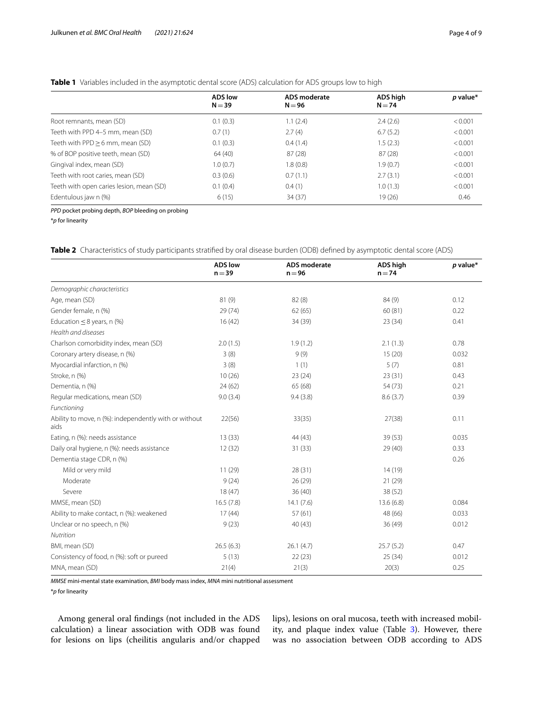# <span id="page-3-0"></span>**Table 1** Variables included in the asymptotic dental score (ADS) calculation for ADS groups low to high

|                                          | <b>ADS</b> low | ADS moderate | ADS high | $p$ value* |
|------------------------------------------|----------------|--------------|----------|------------|
|                                          | $N = 39$       | $N = 96$     | $N = 74$ |            |
|                                          |                |              |          |            |
| Root remnants, mean (SD)                 | 0.1(0.3)       | 1.1(2.4)     | 2.4(2.6) | < 0.001    |
| Teeth with PPD 4-5 mm, mean (SD)         | 0.7(1)         | 2.7(4)       | 6.7(5.2) | < 0.001    |
| Teeth with PPD > 6 mm, mean (SD)         | 0.1(0.3)       | 0.4(1.4)     | 1.5(2.3) | < 0.001    |
| % of BOP positive teeth, mean (SD)       | 64 (40)        | 87(28)       | 87(28)   | < 0.001    |
| Gingival index, mean (SD)                | 1.0(0.7)       | 1.8(0.8)     | 1.9(0.7) | < 0.001    |
| Teeth with root caries, mean (SD)        | 0.3(0.6)       | 0.7(1.1)     | 2.7(3.1) | < 0.001    |
| Teeth with open caries lesion, mean (SD) | 0.1(0.4)       | 0.4(1)       | 1.0(1.3) | < 0.001    |
| Edentulous jaw n (%)                     | 6(15)          | 34(37)       | 19(26)   | 0.46       |
|                                          |                |              |          |            |

*PPD* pocket probing depth, *BOP* bleeding on probing

\**p* for linearity

<span id="page-3-1"></span>**Table 2** Characteristics of study participants stratifed by oral disease burden (ODB) defned by asymptotic dental score (ADS)

|                                                               | <b>ADS low</b><br>$n = 39$ | <b>ADS</b> moderate<br>$n = 96$ | <b>ADS high</b><br>$n = 74$ | $p$ value* |
|---------------------------------------------------------------|----------------------------|---------------------------------|-----------------------------|------------|
| Demographic characteristics                                   |                            |                                 |                             |            |
| Age, mean (SD)                                                | 81 (9)                     | 82(8)                           | 84 (9)                      | 0.12       |
| Gender female, n (%)                                          | 29(74)                     | 62(65)                          | 60(81)                      | 0.22       |
| Education $\leq$ 8 years, n (%)                               | 16(42)                     | 34 (39)                         | 23(34)                      | 0.41       |
| Health and diseases                                           |                            |                                 |                             |            |
| Charlson comorbidity index, mean (SD)                         | 2.0(1.5)                   | 1.9(1.2)                        | 2.1(1.3)                    | 0.78       |
| Coronary artery disease, n (%)                                | 3(8)                       | 9(9)                            | 15(20)                      | 0.032      |
| Myocardial infarction, n (%)                                  | 3(8)                       | 1(1)                            | 5(7)                        | 0.81       |
| Stroke, n (%)                                                 | 10(26)                     | 23(24)                          | 23(31)                      | 0.43       |
| Dementia, n (%)                                               | 24(62)                     | 65 (68)                         | 54 (73)                     | 0.21       |
| Regular medications, mean (SD)                                | 9.0(3.4)                   | 9.4(3.8)                        | 8.6(3.7)                    | 0.39       |
| Functioning                                                   |                            |                                 |                             |            |
| Ability to move, n (%): independently with or without<br>aids | 22(56)                     | 33(35)                          | 27(38)                      | 0.11       |
| Eating, n (%): needs assistance                               | 13(33)                     | 44 (43)                         | 39(53)                      | 0.035      |
| Daily oral hygiene, n (%): needs assistance                   | 12(32)                     | 31(33)                          | 29(40)                      | 0.33       |
| Dementia stage CDR, n (%)                                     |                            |                                 |                             | 0.26       |
| Mild or very mild                                             | 11(29)                     | 28(31)                          | 14(19)                      |            |
| Moderate                                                      | 9(24)                      | 26(29)                          | 21(29)                      |            |
| Severe                                                        | 18(47)                     | 36(40)                          | 38 (52)                     |            |
| MMSE, mean (SD)                                               | 16.5(7.8)                  | 14.1(7.6)                       | 13.6(6.8)                   | 0.084      |
| Ability to make contact, n (%): weakened                      | 17(44)                     | 57(61)                          | 48 (66)                     | 0.033      |
| Unclear or no speech, n (%)                                   | 9(23)                      | 40 (43)                         | 36(49)                      | 0.012      |
| Nutrition                                                     |                            |                                 |                             |            |
| BMI, mean (SD)                                                | 26.5(6.3)                  | 26.1(4.7)                       | 25.7(5.2)                   | 0.47       |
| Consistency of food, n (%): soft or pureed                    | 5(13)                      | 22(23)                          | 25(34)                      | 0.012      |
| MNA, mean (SD)                                                | 21(4)                      | 21(3)                           | 20(3)                       | 0.25       |

*MMSE* mini-mental state examination, *BMI* body mass index, *MNA* mini nutritional assessment

\**p* for linearity

Among general oral fndings (not included in the ADS calculation) a linear association with ODB was found for lesions on lips (cheilitis angularis and/or chapped

lips), lesions on oral mucosa, teeth with increased mobil-ity, and plaque index value (Table [3\)](#page-4-0). However, there was no association between ODB according to ADS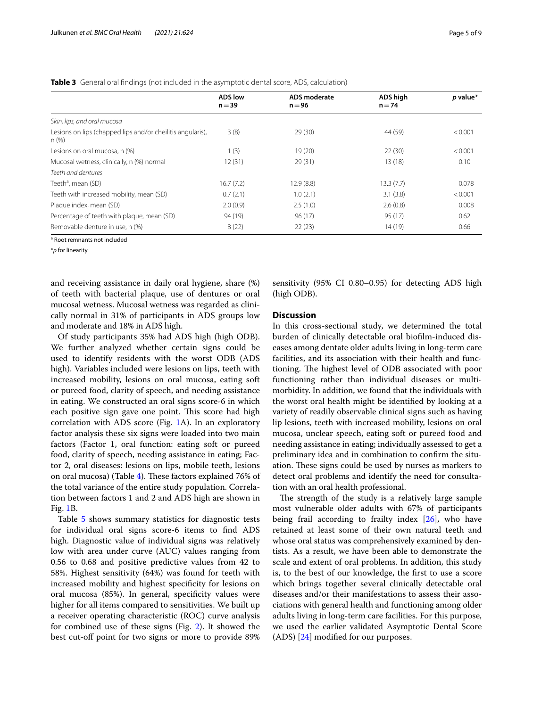<span id="page-4-0"></span>

|  |  |  | Table 3 General oral findings (not included in the asymptotic dental score, ADS, calculation) |
|--|--|--|-----------------------------------------------------------------------------------------------|
|--|--|--|-----------------------------------------------------------------------------------------------|

|                                                                     | <b>ADS</b> low<br>$n = 39$ | ADS moderate<br>$n = 96$ | ADS high<br>$n = 74$ | $p$ value* |
|---------------------------------------------------------------------|----------------------------|--------------------------|----------------------|------------|
| Skin, lips, and oral mucosa                                         |                            |                          |                      |            |
| Lesions on lips (chapped lips and/or cheilitis angularis),<br>n (%) | 3(8)                       | 29(30)                   | 44 (59)              | < 0.001    |
| Lesions on oral mucosa, n (%)                                       | 1(3)                       | 19(20)                   | 22(30)               | < 0.001    |
| Mucosal wetness, clinically, n (%) normal                           | 12(31)                     | 29(31)                   | 13(18)               | 0.10       |
| Teeth and dentures                                                  |                            |                          |                      |            |
| Teeth <sup>a</sup> , mean (SD)                                      | 16.7(7.2)                  | 12.9(8.8)                | 13.3(7.7)            | 0.078      |
| Teeth with increased mobility, mean (SD)                            | 0.7(2.1)                   | 1.0(2.1)                 | 3.1(3.8)             | < 0.001    |
| Plaque index, mean (SD)                                             | 2.0(0.9)                   | 2.5(1.0)                 | 2.6(0.8)             | 0.008      |
| Percentage of teeth with plague, mean (SD)                          | 94 (19)                    | 96(17)                   | 95 (17)              | 0.62       |
| Removable denture in use, n (%)                                     | 8(22)                      | 22(23)                   | 14(19)               | 0.66       |

<sup>a</sup> Root remnants not included

\**p* for linearity

and receiving assistance in daily oral hygiene, share (%) of teeth with bacterial plaque, use of dentures or oral mucosal wetness. Mucosal wetness was regarded as clinically normal in 31% of participants in ADS groups low and moderate and 18% in ADS high.

Of study participants 35% had ADS high (high ODB). We further analyzed whether certain signs could be used to identify residents with the worst ODB (ADS high). Variables included were lesions on lips, teeth with increased mobility, lesions on oral mucosa, eating soft or pureed food, clarity of speech, and needing assistance in eating. We constructed an oral signs score-6 in which each positive sign gave one point. This score had high correlation with ADS score (Fig. [1A](#page-5-0)). In an exploratory factor analysis these six signs were loaded into two main factors (Factor 1, oral function: eating soft or pureed food, clarity of speech, needing assistance in eating; Factor 2, oral diseases: lesions on lips, mobile teeth, lesions on oral mucosa) (Table [4\)](#page-5-1). These factors explained 76% of the total variance of the entire study population. Correlation between factors 1 and 2 and ADS high are shown in Fig. [1B](#page-5-0).

Table [5](#page-6-0) shows summary statistics for diagnostic tests for individual oral signs score-6 items to fnd ADS high. Diagnostic value of individual signs was relatively low with area under curve (AUC) values ranging from 0.56 to 0.68 and positive predictive values from 42 to 58%. Highest sensitivity (64%) was found for teeth with increased mobility and highest specifcity for lesions on oral mucosa (85%). In general, specifcity values were higher for all items compared to sensitivities. We built up a receiver operating characteristic (ROC) curve analysis for combined use of these signs (Fig. [2](#page-6-1)). It showed the best cut-off point for two signs or more to provide 89% sensitivity (95% CI 0.80–0.95) for detecting ADS high (high ODB).

# **Discussion**

In this cross-sectional study, we determined the total burden of clinically detectable oral bioflm-induced diseases among dentate older adults living in long-term care facilities, and its association with their health and functioning. The highest level of ODB associated with poor functioning rather than individual diseases or multimorbidity. In addition, we found that the individuals with the worst oral health might be identifed by looking at a variety of readily observable clinical signs such as having lip lesions, teeth with increased mobility, lesions on oral mucosa, unclear speech, eating soft or pureed food and needing assistance in eating; individually assessed to get a preliminary idea and in combination to confrm the situation. These signs could be used by nurses as markers to detect oral problems and identify the need for consultation with an oral health professional.

The strength of the study is a relatively large sample most vulnerable older adults with 67% of participants being frail according to frailty index  $[26]$  $[26]$ , who have retained at least some of their own natural teeth and whose oral status was comprehensively examined by dentists. As a result, we have been able to demonstrate the scale and extent of oral problems. In addition, this study is, to the best of our knowledge, the frst to use a score which brings together several clinically detectable oral diseases and/or their manifestations to assess their associations with general health and functioning among older adults living in long-term care facilities. For this purpose, we used the earlier validated Asymptotic Dental Score (ADS) [[24\]](#page-8-17) modifed for our purposes.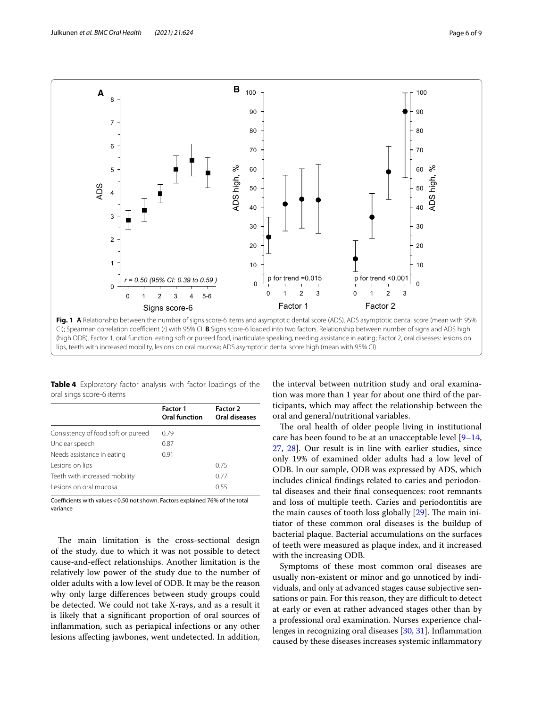

<span id="page-5-1"></span><span id="page-5-0"></span>**Table 4** Exploratory factor analysis with factor loadings of the oral sings score-6 items

|                                    | <b>Factor 1</b><br>Oral function | Factor 2<br>Oral diseases |
|------------------------------------|----------------------------------|---------------------------|
| Consistency of food soft or pureed | 0.79                             |                           |
| Unclear speech                     | 0.87                             |                           |
| Needs assistance in eating         | 0.91                             |                           |
| Lesions on lips                    |                                  | 0.75                      |
| Teeth with increased mobility      |                                  | 0.77                      |
| Lesions on oral mucosal            |                                  | 0.55                      |

Coefficients with values < 0.50 not shown. Factors explained 76% of the total variance

The main limitation is the cross-sectional design of the study, due to which it was not possible to detect cause-and-efect relationships. Another limitation is the relatively low power of the study due to the number of older adults with a low level of ODB. It may be the reason why only large diferences between study groups could be detected. We could not take X-rays, and as a result it is likely that a signifcant proportion of oral sources of infammation, such as periapical infections or any other lesions afecting jawbones, went undetected. In addition,

the interval between nutrition study and oral examination was more than 1 year for about one third of the participants, which may afect the relationship between the oral and general/nutritional variables.

The oral health of older people living in institutional care has been found to be at an unacceptable level [[9–](#page-8-5)[14](#page-8-7), [27,](#page-8-20) [28\]](#page-8-21). Our result is in line with earlier studies, since only 19% of examined older adults had a low level of ODB. In our sample, ODB was expressed by ADS, which includes clinical fndings related to caries and periodontal diseases and their fnal consequences: root remnants and loss of multiple teeth. Caries and periodontitis are the main causes of tooth loss globally  $[29]$  $[29]$  $[29]$ . The main initiator of these common oral diseases is the buildup of bacterial plaque. Bacterial accumulations on the surfaces of teeth were measured as plaque index, and it increased with the increasing ODB.

Symptoms of these most common oral diseases are usually non-existent or minor and go unnoticed by individuals, and only at advanced stages cause subjective sensations or pain. For this reason, they are difficult to detect at early or even at rather advanced stages other than by a professional oral examination. Nurses experience challenges in recognizing oral diseases [[30](#page-8-23), [31\]](#page-8-24). Infammation caused by these diseases increases systemic infammatory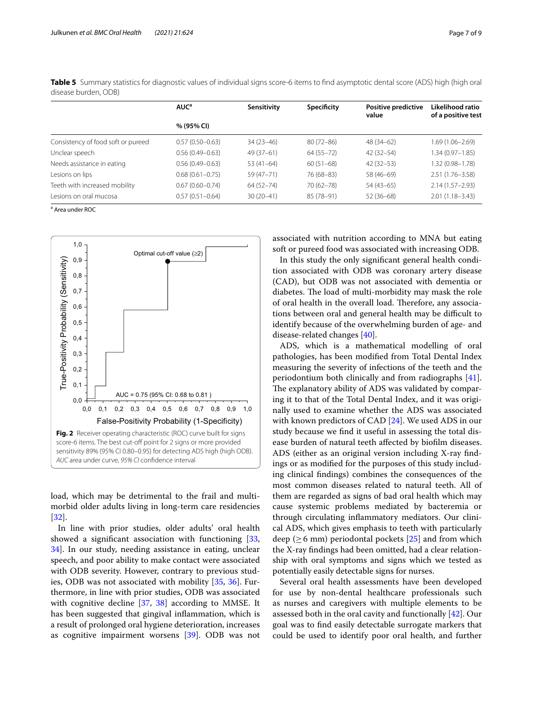|                                    | AUC <sup>a</sup>    | Sensitivity   | Specificity   | Positive predictive<br>value | Likelihood ratio<br>of a positive test |  |
|------------------------------------|---------------------|---------------|---------------|------------------------------|----------------------------------------|--|
|                                    | % (95% CI)          |               |               |                              |                                        |  |
| Consistency of food soft or pureed | $0.57(0.50 - 0.63)$ | $34(23-46)$   | $80(72 - 86)$ | 48 (34-62)                   | 1.69 (1.06–2.69)                       |  |
| Unclear speech                     | $0.56(0.49 - 0.63)$ | $49(37-61)$   | $64(55 - 72)$ | $42(32 - 54)$                | $1.34(0.97 - 1.85)$                    |  |
| Needs assistance in eating         | $0.56(0.49 - 0.63)$ | $53(41-64)$   | $60(51-68)$   | $42(32 - 53)$                | 1.32 (0.98-1.78)                       |  |
| Lesions on lips                    | $0.68(0.61 - 0.75)$ | $59(47 - 71)$ | 76 (68-83)    | 58 (46-69)                   | $2.51(1.76 - 3.58)$                    |  |
| Teeth with increased mobility      | $0.67(0.60 - 0.74)$ | $64(52 - 74)$ | 70 (62-78)    | $54(43-65)$                  | $2.14(1.57 - 2.93)$                    |  |
| Lesions on oral mucosa             | $0.57(0.51 - 0.64)$ | $30(20-41)$   | 85 (78-91)    | $52(36-68)$                  | $2.01(1.18 - 3.43)$                    |  |

<span id="page-6-0"></span>**Table 5** Summary statistics for diagnostic values of individual signs score-6 items to find asymptotic dental score (ADS) high (high oral disease burden, ODB)

a Area under ROC



<span id="page-6-1"></span>load, which may be detrimental to the frail and multimorbid older adults living in long-term care residencies [[32\]](#page-8-25).

In line with prior studies, older adults' oral health showed a significant association with functioning  $[33, 33]$  $[33, 33]$ [34\]](#page-8-27). In our study, needing assistance in eating, unclear speech, and poor ability to make contact were associated with ODB severity. However, contrary to previous studies, ODB was not associated with mobility [[35,](#page-8-28) [36\]](#page-8-29). Furthermore, in line with prior studies, ODB was associated with cognitive decline [[37,](#page-8-30) [38](#page-8-31)] according to MMSE. It has been suggested that gingival infammation, which is a result of prolonged oral hygiene deterioration, increases as cognitive impairment worsens [[39\]](#page-8-32). ODB was not associated with nutrition according to MNA but eating soft or pureed food was associated with increasing ODB.

In this study the only signifcant general health condition associated with ODB was coronary artery disease (CAD), but ODB was not associated with dementia or diabetes. The load of multi-morbidity may mask the role of oral health in the overall load. Therefore, any associations between oral and general health may be difficult to identify because of the overwhelming burden of age- and disease-related changes [\[40](#page-8-33)].

ADS, which is a mathematical modelling of oral pathologies, has been modifed from Total Dental Index measuring the severity of infections of the teeth and the periodontium both clinically and from radiographs [\[41](#page-8-34)]. The explanatory ability of ADS was validated by comparing it to that of the Total Dental Index, and it was originally used to examine whether the ADS was associated with known predictors of CAD [\[24\]](#page-8-17). We used ADS in our study because we fnd it useful in assessing the total disease burden of natural teeth afected by bioflm diseases. ADS (either as an original version including X-ray fndings or as modifed for the purposes of this study including clinical fndings) combines the consequences of the most common diseases related to natural teeth. All of them are regarded as signs of bad oral health which may cause systemic problems mediated by bacteremia or through circulating infammatory mediators. Our clinical ADS, which gives emphasis to teeth with particularly deep ( $\geq$  6 mm) periodontal pockets [\[25](#page-8-18)] and from which the X-ray fndings had been omitted, had a clear relationship with oral symptoms and signs which we tested as potentially easily detectable signs for nurses.

Several oral health assessments have been developed for use by non-dental healthcare professionals such as nurses and caregivers with multiple elements to be assessed both in the oral cavity and functionally [\[42](#page-8-35)]. Our goal was to fnd easily detectable surrogate markers that could be used to identify poor oral health, and further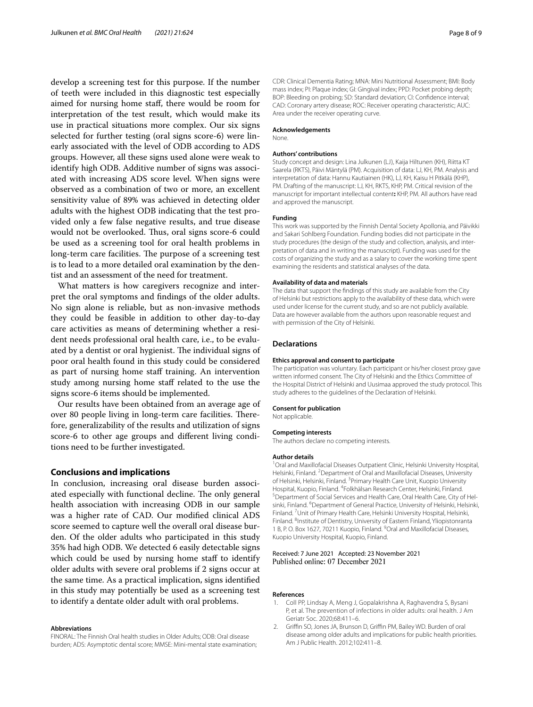develop a screening test for this purpose. If the number of teeth were included in this diagnostic test especially aimed for nursing home staf, there would be room for interpretation of the test result, which would make its use in practical situations more complex. Our six signs selected for further testing (oral signs score-6) were linearly associated with the level of ODB according to ADS groups. However, all these signs used alone were weak to identify high ODB. Additive number of signs was associated with increasing ADS score level. When signs were observed as a combination of two or more, an excellent sensitivity value of 89% was achieved in detecting older adults with the highest ODB indicating that the test provided only a few false negative results, and true disease would not be overlooked. Thus, oral signs score-6 could be used as a screening tool for oral health problems in long-term care facilities. The purpose of a screening test is to lead to a more detailed oral examination by the dentist and an assessment of the need for treatment.

What matters is how caregivers recognize and interpret the oral symptoms and fndings of the older adults. No sign alone is reliable, but as non-invasive methods they could be feasible in addition to other day-to-day care activities as means of determining whether a resident needs professional oral health care, i.e., to be evaluated by a dentist or oral hygienist. The individual signs of poor oral health found in this study could be considered as part of nursing home staf training. An intervention study among nursing home staff related to the use the signs score-6 items should be implemented.

Our results have been obtained from an average age of over 80 people living in long-term care facilities. Therefore, generalizability of the results and utilization of signs score-6 to other age groups and diferent living conditions need to be further investigated.

# **Conclusions and implications**

In conclusion, increasing oral disease burden associated especially with functional decline. The only general health association with increasing ODB in our sample was a higher rate of CAD. Our modifed clinical ADS score seemed to capture well the overall oral disease burden. Of the older adults who participated in this study 35% had high ODB. We detected 6 easily detectable signs which could be used by nursing home staff to identify older adults with severe oral problems if 2 signs occur at the same time. As a practical implication, signs identifed in this study may potentially be used as a screening test to identify a dentate older adult with oral problems.

#### **Abbreviations**

FINORAL: The Finnish Oral health studies in Older Adults; ODB: Oral disease burden; ADS: Asymptotic dental score; MMSE: Mini-mental state examination; CDR: Clinical Dementia Rating; MNA: Mini Nutritional Assessment; BMI: Body mass index; PI: Plaque index; GI: Gingival index; PPD: Pocket probing depth; BOP: Bleeding on probing; SD: Standard deviation; CI: Confdence interval; CAD: Coronary artery disease; ROC: Receiver operating characteristic; AUC: Area under the receiver operating curve.

#### **Acknowledgements**

None.

#### **Authors' contributions**

Study concept and design: Lina Julkunen (LJ), Kaija Hiltunen (KH), Riitta KT Saarela (RKTS), Päivi Mäntylä (PM). Acquisition of data: LJ, KH, PM. Analysis and interpretation of data: Hannu Kautiainen (HK), LJ, KH, Kaisu H Pitkälä (KHP), PM. Drafting of the manuscript: LJ, KH, RKTS, KHP, PM. Critical revision of the manuscript for important intellectual content**:** KHP, PM. All authors have read and approved the manuscript.

### **Funding**

This work was supported by the Finnish Dental Society Apollonia, and Päivikki and Sakari Sohlberg Foundation. Funding bodies did not participate in the study procedures (the design of the study and collection, analysis, and interpretation of data and in writing the manuscript). Funding was used for the costs of organizing the study and as a salary to cover the working time spent examining the residents and statistical analyses of the data.

#### **Availability of data and materials**

The data that support the fndings of this study are available from the City of Helsinki but restrictions apply to the availability of these data, which were used under license for the current study, and so are not publicly available. Data are however available from the authors upon reasonable request and with permission of the City of Helsinki.

#### **Declarations**

#### **Ethics approval and consent to participate**

The participation was voluntary. Each participant or his/her closest proxy gave written informed consent. The City of Helsinki and the Ethics Committee of the Hospital District of Helsinki and Uusimaa approved the study protocol. This study adheres to the guidelines of the Declaration of Helsinki.

#### **Consent for publication**

Not applicable.

#### **Competing interests**

The authors declare no competing interests.

#### **Author details**

<sup>1</sup> Oral and Maxillofacial Diseases Outpatient Clinic, Helsinki University Hospital, Helsinki, Finland. <sup>2</sup> Department of Oral and Maxillofacial Diseases, University of Helsinki, Helsinki, Finland. <sup>3</sup> Primary Health Care Unit, Kuopio University Hospital, Kuopio, Finland. <sup>4</sup> Folkhälsan Research Center, Helsinki, Finland.<br><sup>5</sup> Department of Social Sorvices and Health Care Oral Health Care City o <sup>5</sup> Department of Social Services and Health Care, Oral Health Care, City of Helsinki, Finland. <sup>6</sup> Department of General Practice, University of Helsinki, Helsinki, Finland. 7 Unit of Primary Health Care, Helsinki University Hospital, Helsinki, Finland. <sup>8</sup>Institute of Dentistry, University of Eastern Finland, Yliopistonranta 1 B, P.O. Box 1627, 70211 Kuopio, Finland. <sup>9</sup> Oral and Maxillofacial Diseases, Kuopio University Hospital, Kuopio, Finland.

#### Received: 7 June 2021 Accepted: 23 November 2021 Published online: 07 December 2021

#### **References**

- <span id="page-7-0"></span>1. Coll PP, Lindsay A, Meng J, Gopalakrishna A, Raghavendra S, Bysani P, et al. The prevention of infections in older adults: oral health. J Am Geriatr Soc. 2020;68:411–6.
- <span id="page-7-1"></span>2. Griffin SO, Jones JA, Brunson D, Griffin PM, Bailey WD. Burden of oral disease among older adults and implications for public health priorities. Am J Public Health. 2012;102:411–8.